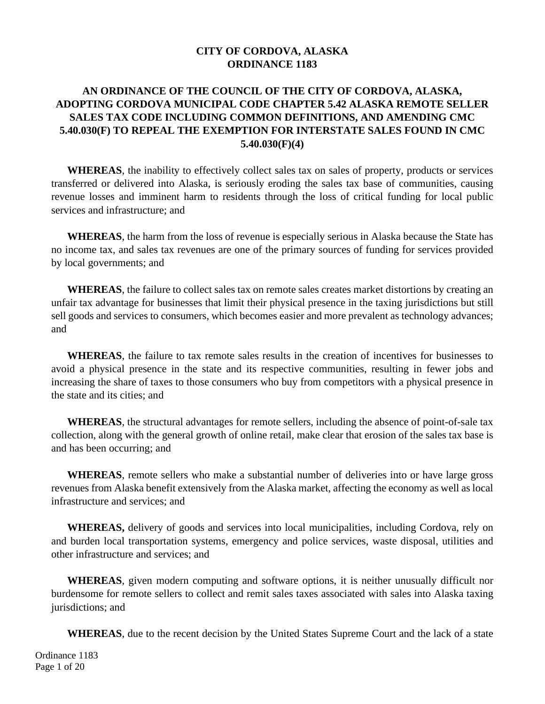#### **CITY OF CORDOVA, ALASKA ORDINANCE 1183**

## **AN ORDINANCE OF THE COUNCIL OF THE CITY OF CORDOVA, ALASKA, ADOPTING CORDOVA MUNICIPAL CODE CHAPTER 5.42 ALASKA REMOTE SELLER SALES TAX CODE INCLUDING COMMON DEFINITIONS, AND AMENDING CMC 5.40.030(F) TO REPEAL THE EXEMPTION FOR INTERSTATE SALES FOUND IN CMC 5.40.030(F)(4)**

**WHEREAS**, the inability to effectively collect sales tax on sales of property, products or services transferred or delivered into Alaska, is seriously eroding the sales tax base of communities, causing revenue losses and imminent harm to residents through the loss of critical funding for local public services and infrastructure; and

**WHEREAS**, the harm from the loss of revenue is especially serious in Alaska because the State has no income tax, and sales tax revenues are one of the primary sources of funding for services provided by local governments; and

**WHEREAS**, the failure to collect sales tax on remote sales creates market distortions by creating an unfair tax advantage for businesses that limit their physical presence in the taxing jurisdictions but still sell goods and services to consumers, which becomes easier and more prevalent as technology advances; and

**WHEREAS**, the failure to tax remote sales results in the creation of incentives for businesses to avoid a physical presence in the state and its respective communities, resulting in fewer jobs and increasing the share of taxes to those consumers who buy from competitors with a physical presence in the state and its cities; and

**WHEREAS**, the structural advantages for remote sellers, including the absence of point-of-sale tax collection, along with the general growth of online retail, make clear that erosion of the sales tax base is and has been occurring; and

**WHEREAS**, remote sellers who make a substantial number of deliveries into or have large gross revenues from Alaska benefit extensively from the Alaska market, affecting the economy as well as local infrastructure and services; and

**WHEREAS,** delivery of goods and services into local municipalities, including Cordova, rely on and burden local transportation systems, emergency and police services, waste disposal, utilities and other infrastructure and services; and

**WHEREAS**, given modern computing and software options, it is neither unusually difficult nor burdensome for remote sellers to collect and remit sales taxes associated with sales into Alaska taxing jurisdictions; and

**WHEREAS**, due to the recent decision by the United States Supreme Court and the lack of a state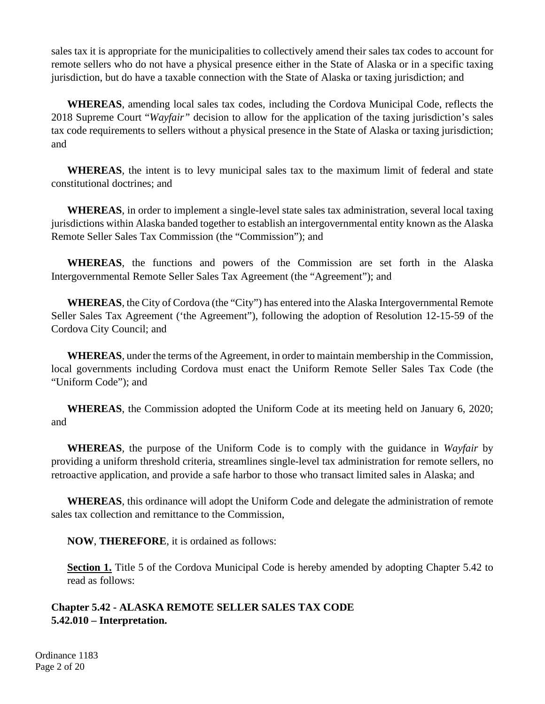sales tax it is appropriate for the municipalities to collectively amend their sales tax codes to account for remote sellers who do not have a physical presence either in the State of Alaska or in a specific taxing jurisdiction, but do have a taxable connection with the State of Alaska or taxing jurisdiction; and

**WHEREAS**, amending local sales tax codes, including the Cordova Municipal Code, reflects the 2018 Supreme Court "*Wayfair"* decision to allow for the application of the taxing jurisdiction's sales tax code requirements to sellers without a physical presence in the State of Alaska or taxing jurisdiction; and

**WHEREAS**, the intent is to levy municipal sales tax to the maximum limit of federal and state constitutional doctrines; and

**WHEREAS**, in order to implement a single-level state sales tax administration, several local taxing jurisdictions within Alaska banded together to establish an intergovernmental entity known as the Alaska Remote Seller Sales Tax Commission (the "Commission"); and

**WHEREAS**, the functions and powers of the Commission are set forth in the Alaska Intergovernmental Remote Seller Sales Tax Agreement (the "Agreement"); and

**WHEREAS**, the City of Cordova (the "City") has entered into the Alaska Intergovernmental Remote Seller Sales Tax Agreement ('the Agreement"), following the adoption of Resolution 12-15-59 of the Cordova City Council; and

**WHEREAS**, under the terms of the Agreement, in order to maintain membership in the Commission, local governments including Cordova must enact the Uniform Remote Seller Sales Tax Code (the "Uniform Code"); and

**WHEREAS**, the Commission adopted the Uniform Code at its meeting held on January 6, 2020; and

**WHEREAS**, the purpose of the Uniform Code is to comply with the guidance in *Wayfair* by providing a uniform threshold criteria, streamlines single-level tax administration for remote sellers, no retroactive application, and provide a safe harbor to those who transact limited sales in Alaska; and

**WHEREAS**, this ordinance will adopt the Uniform Code and delegate the administration of remote sales tax collection and remittance to the Commission,

**NOW**, **THEREFORE**, it is ordained as follows:

**Section 1.** Title 5 of the Cordova Municipal Code is hereby amended by adopting Chapter 5.42 to read as follows:

## **Chapter 5.42 - ALASKA REMOTE SELLER SALES TAX CODE 5.42.010 – Interpretation.**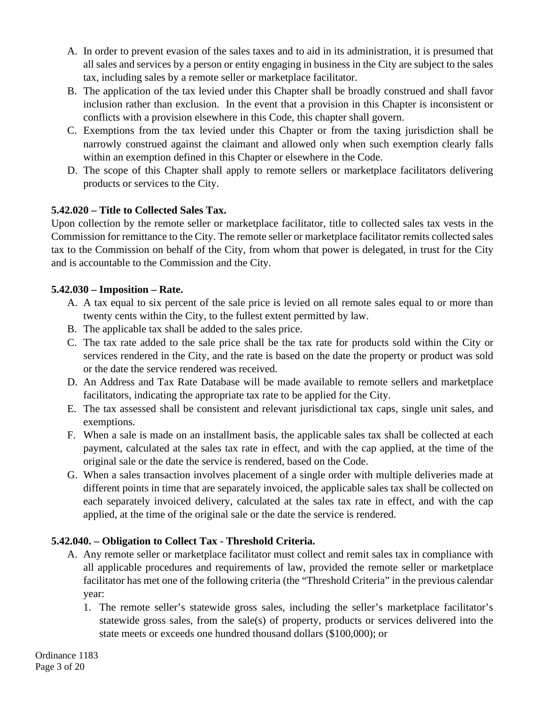- A. In order to prevent evasion of the sales taxes and to aid in its administration, it is presumed that all sales and services by a person or entity engaging in business in the City are subject to the sales tax, including sales by a remote seller or marketplace facilitator.
- B. The application of the tax levied under this Chapter shall be broadly construed and shall favor inclusion rather than exclusion. In the event that a provision in this Chapter is inconsistent or conflicts with a provision elsewhere in this Code, this chapter shall govern.
- C. Exemptions from the tax levied under this Chapter or from the taxing jurisdiction shall be narrowly construed against the claimant and allowed only when such exemption clearly falls within an exemption defined in this Chapter or elsewhere in the Code.
- D. The scope of this Chapter shall apply to remote sellers or marketplace facilitators delivering products or services to the City.

# **5.42.020 – Title to Collected Sales Tax.**

Upon collection by the remote seller or marketplace facilitator, title to collected sales tax vests in the Commission for remittance to the City. The remote seller or marketplace facilitator remits collected sales tax to the Commission on behalf of the City, from whom that power is delegated, in trust for the City and is accountable to the Commission and the City.

## **5.42.030 – Imposition – Rate.**

- A. A tax equal to six percent of the sale price is levied on all remote sales equal to or more than twenty cents within the City, to the fullest extent permitted by law.
- B. The applicable tax shall be added to the sales price.
- C. The tax rate added to the sale price shall be the tax rate for products sold within the City or services rendered in the City, and the rate is based on the date the property or product was sold or the date the service rendered was received.
- D. An Address and Tax Rate Database will be made available to remote sellers and marketplace facilitators, indicating the appropriate tax rate to be applied for the City.
- E. The tax assessed shall be consistent and relevant jurisdictional tax caps, single unit sales, and exemptions.
- F. When a sale is made on an installment basis, the applicable sales tax shall be collected at each payment, calculated at the sales tax rate in effect, and with the cap applied, at the time of the original sale or the date the service is rendered, based on the Code.
- G. When a sales transaction involves placement of a single order with multiple deliveries made at different points in time that are separately invoiced, the applicable sales tax shall be collected on each separately invoiced delivery, calculated at the sales tax rate in effect, and with the cap applied, at the time of the original sale or the date the service is rendered.

# **5.42.040. – Obligation to Collect Tax - Threshold Criteria.**

- A. Any remote seller or marketplace facilitator must collect and remit sales tax in compliance with all applicable procedures and requirements of law, provided the remote seller or marketplace facilitator has met one of the following criteria (the "Threshold Criteria" in the previous calendar year:
	- 1. The remote seller's statewide gross sales, including the seller's marketplace facilitator's statewide gross sales, from the sale(s) of property, products or services delivered into the state meets or exceeds one hundred thousand dollars (\$100,000); or

Ordinance 1183 Page 3 of 20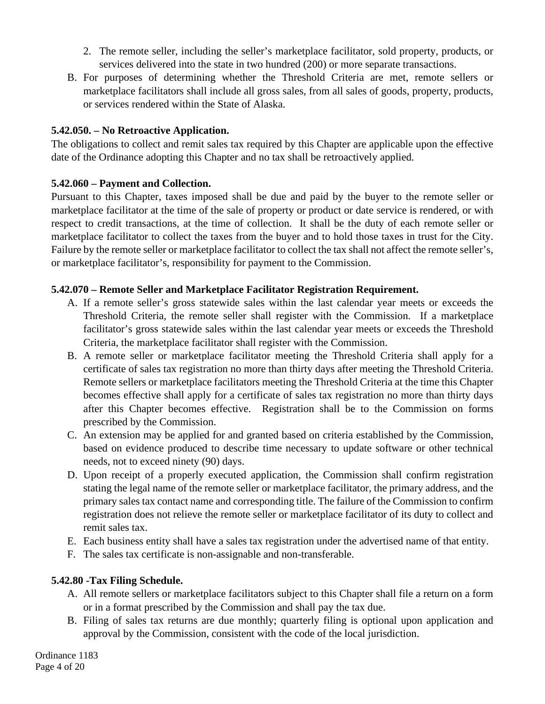- 2. The remote seller, including the seller's marketplace facilitator, sold property, products, or services delivered into the state in two hundred (200) or more separate transactions.
- B. For purposes of determining whether the Threshold Criteria are met, remote sellers or marketplace facilitators shall include all gross sales, from all sales of goods, property, products, or services rendered within the State of Alaska.

### **5.42.050. – No Retroactive Application.**

The obligations to collect and remit sales tax required by this Chapter are applicable upon the effective date of the Ordinance adopting this Chapter and no tax shall be retroactively applied.

#### **5.42.060 – Payment and Collection.**

Pursuant to this Chapter, taxes imposed shall be due and paid by the buyer to the remote seller or marketplace facilitator at the time of the sale of property or product or date service is rendered, or with respect to credit transactions, at the time of collection. It shall be the duty of each remote seller or marketplace facilitator to collect the taxes from the buyer and to hold those taxes in trust for the City. Failure by the remote seller or marketplace facilitator to collect the tax shall not affect the remote seller's, or marketplace facilitator's, responsibility for payment to the Commission.

#### **5.42.070 – Remote Seller and Marketplace Facilitator Registration Requirement.**

- A. If a remote seller's gross statewide sales within the last calendar year meets or exceeds the Threshold Criteria, the remote seller shall register with the Commission. If a marketplace facilitator's gross statewide sales within the last calendar year meets or exceeds the Threshold Criteria, the marketplace facilitator shall register with the Commission.
- B. A remote seller or marketplace facilitator meeting the Threshold Criteria shall apply for a certificate of sales tax registration no more than thirty days after meeting the Threshold Criteria. Remote sellers or marketplace facilitators meeting the Threshold Criteria at the time this Chapter becomes effective shall apply for a certificate of sales tax registration no more than thirty days after this Chapter becomes effective. Registration shall be to the Commission on forms prescribed by the Commission.
- C. An extension may be applied for and granted based on criteria established by the Commission, based on evidence produced to describe time necessary to update software or other technical needs, not to exceed ninety (90) days.
- D. Upon receipt of a properly executed application, the Commission shall confirm registration stating the legal name of the remote seller or marketplace facilitator, the primary address, and the primary sales tax contact name and corresponding title. The failure of the Commission to confirm registration does not relieve the remote seller or marketplace facilitator of its duty to collect and remit sales tax.
- E. Each business entity shall have a sales tax registration under the advertised name of that entity.
- F. The sales tax certificate is non-assignable and non-transferable.

## **5.42.80 -Tax Filing Schedule.**

- A. All remote sellers or marketplace facilitators subject to this Chapter shall file a return on a form or in a format prescribed by the Commission and shall pay the tax due.
- B. Filing of sales tax returns are due monthly; quarterly filing is optional upon application and approval by the Commission, consistent with the code of the local jurisdiction.

Ordinance 1183 Page 4 of 20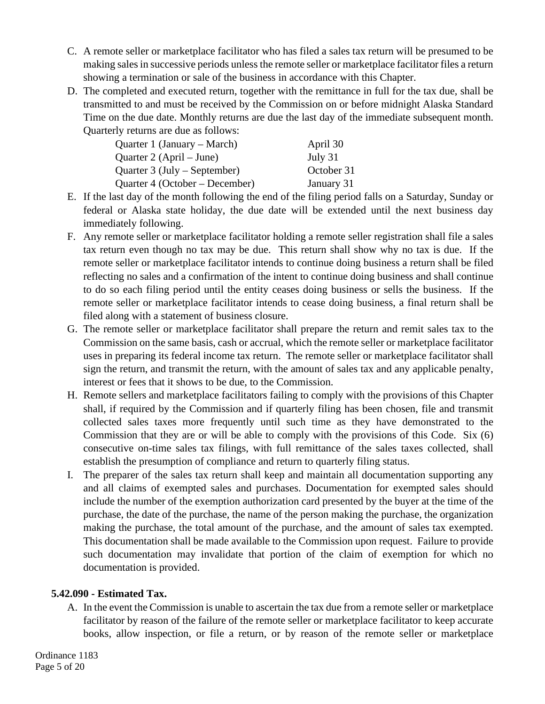- C. A remote seller or marketplace facilitator who has filed a sales tax return will be presumed to be making sales in successive periods unless the remote seller or marketplace facilitator files a return showing a termination or sale of the business in accordance with this Chapter.
- D. The completed and executed return, together with the remittance in full for the tax due, shall be transmitted to and must be received by the Commission on or before midnight Alaska Standard Time on the due date. Monthly returns are due the last day of the immediate subsequent month. Quarterly returns are due as follows:

| April 30   |
|------------|
| July 31    |
| October 31 |
| January 31 |
|            |

- E. If the last day of the month following the end of the filing period falls on a Saturday, Sunday or federal or Alaska state holiday, the due date will be extended until the next business day immediately following.
- F. Any remote seller or marketplace facilitator holding a remote seller registration shall file a sales tax return even though no tax may be due. This return shall show why no tax is due. If the remote seller or marketplace facilitator intends to continue doing business a return shall be filed reflecting no sales and a confirmation of the intent to continue doing business and shall continue to do so each filing period until the entity ceases doing business or sells the business. If the remote seller or marketplace facilitator intends to cease doing business, a final return shall be filed along with a statement of business closure.
- G. The remote seller or marketplace facilitator shall prepare the return and remit sales tax to the Commission on the same basis, cash or accrual, which the remote seller or marketplace facilitator uses in preparing its federal income tax return. The remote seller or marketplace facilitator shall sign the return, and transmit the return, with the amount of sales tax and any applicable penalty, interest or fees that it shows to be due, to the Commission.
- H. Remote sellers and marketplace facilitators failing to comply with the provisions of this Chapter shall, if required by the Commission and if quarterly filing has been chosen, file and transmit collected sales taxes more frequently until such time as they have demonstrated to the Commission that they are or will be able to comply with the provisions of this Code. Six (6) consecutive on-time sales tax filings, with full remittance of the sales taxes collected, shall establish the presumption of compliance and return to quarterly filing status.
- I. The preparer of the sales tax return shall keep and maintain all documentation supporting any and all claims of exempted sales and purchases. Documentation for exempted sales should include the number of the exemption authorization card presented by the buyer at the time of the purchase, the date of the purchase, the name of the person making the purchase, the organization making the purchase, the total amount of the purchase, and the amount of sales tax exempted. This documentation shall be made available to the Commission upon request. Failure to provide such documentation may invalidate that portion of the claim of exemption for which no documentation is provided.

## **5.42.090 - Estimated Tax.**

A. In the event the Commission is unable to ascertain the tax due from a remote seller or marketplace facilitator by reason of the failure of the remote seller or marketplace facilitator to keep accurate books, allow inspection, or file a return, or by reason of the remote seller or marketplace

Ordinance 1183 Page 5 of 20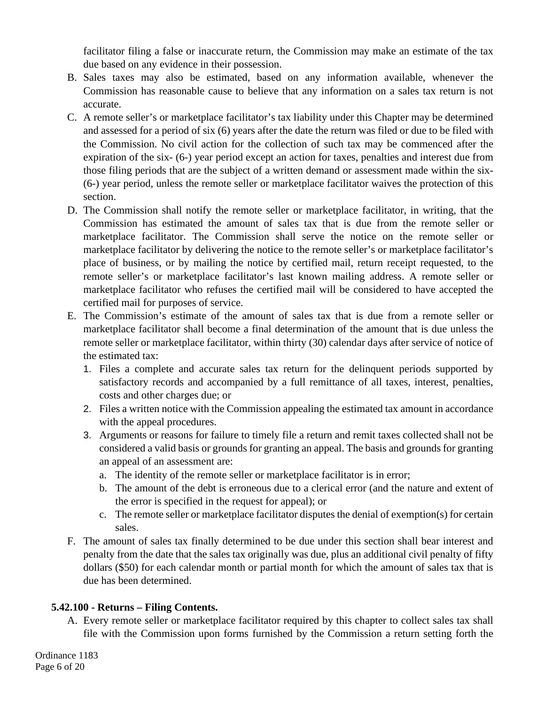facilitator filing a false or inaccurate return, the Commission may make an estimate of the tax due based on any evidence in their possession.

- B. Sales taxes may also be estimated, based on any information available, whenever the Commission has reasonable cause to believe that any information on a sales tax return is not accurate.
- C. A remote seller's or marketplace facilitator's tax liability under this Chapter may be determined and assessed for a period of six (6) years after the date the return was filed or due to be filed with the Commission. No civil action for the collection of such tax may be commenced after the expiration of the six- (6-) year period except an action for taxes, penalties and interest due from those filing periods that are the subject of a written demand or assessment made within the six- (6-) year period, unless the remote seller or marketplace facilitator waives the protection of this section.
- D. The Commission shall notify the remote seller or marketplace facilitator, in writing, that the Commission has estimated the amount of sales tax that is due from the remote seller or marketplace facilitator. The Commission shall serve the notice on the remote seller or marketplace facilitator by delivering the notice to the remote seller's or marketplace facilitator's place of business, or by mailing the notice by certified mail, return receipt requested, to the remote seller's or marketplace facilitator's last known mailing address. A remote seller or marketplace facilitator who refuses the certified mail will be considered to have accepted the certified mail for purposes of service.
- E. The Commission's estimate of the amount of sales tax that is due from a remote seller or marketplace facilitator shall become a final determination of the amount that is due unless the remote seller or marketplace facilitator, within thirty (30) calendar days after service of notice of the estimated tax:
	- 1. Files a complete and accurate sales tax return for the delinquent periods supported by satisfactory records and accompanied by a full remittance of all taxes, interest, penalties, costs and other charges due; or
	- 2. Files a written notice with the Commission appealing the estimated tax amount in accordance with the appeal procedures.
	- 3. Arguments or reasons for failure to timely file a return and remit taxes collected shall not be considered a valid basis or grounds for granting an appeal. The basis and grounds for granting an appeal of an assessment are:
		- a. The identity of the remote seller or marketplace facilitator is in error;
		- b. The amount of the debt is erroneous due to a clerical error (and the nature and extent of the error is specified in the request for appeal); or
		- c. The remote seller or marketplace facilitator disputes the denial of exemption(s) for certain sales.
- F. The amount of sales tax finally determined to be due under this section shall bear interest and penalty from the date that the sales tax originally was due, plus an additional civil penalty of fifty dollars (\$50) for each calendar month or partial month for which the amount of sales tax that is due has been determined.

# **5.42.100 - Returns – Filing Contents.**

A. Every remote seller or marketplace facilitator required by this chapter to collect sales tax shall file with the Commission upon forms furnished by the Commission a return setting forth the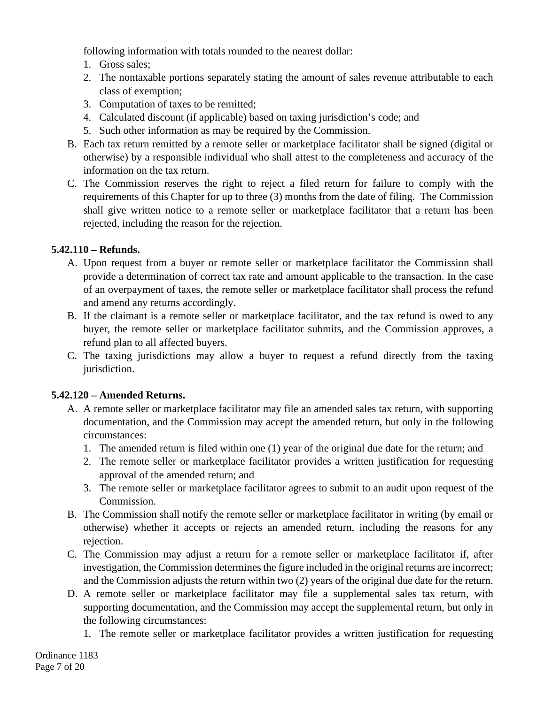following information with totals rounded to the nearest dollar:

- 1. Gross sales;
- 2. The nontaxable portions separately stating the amount of sales revenue attributable to each class of exemption;
- 3. Computation of taxes to be remitted;
- 4. Calculated discount (if applicable) based on taxing jurisdiction's code; and
- 5. Such other information as may be required by the Commission.
- B. Each tax return remitted by a remote seller or marketplace facilitator shall be signed (digital or otherwise) by a responsible individual who shall attest to the completeness and accuracy of the information on the tax return.
- C. The Commission reserves the right to reject a filed return for failure to comply with the requirements of this Chapter for up to three (3) months from the date of filing. The Commission shall give written notice to a remote seller or marketplace facilitator that a return has been rejected, including the reason for the rejection.

### **5.42.110 – Refunds.**

- A. Upon request from a buyer or remote seller or marketplace facilitator the Commission shall provide a determination of correct tax rate and amount applicable to the transaction. In the case of an overpayment of taxes, the remote seller or marketplace facilitator shall process the refund and amend any returns accordingly.
- B. If the claimant is a remote seller or marketplace facilitator, and the tax refund is owed to any buyer, the remote seller or marketplace facilitator submits, and the Commission approves, a refund plan to all affected buyers.
- C. The taxing jurisdictions may allow a buyer to request a refund directly from the taxing jurisdiction.

#### **5.42.120 – Amended Returns.**

- A. A remote seller or marketplace facilitator may file an amended sales tax return, with supporting documentation, and the Commission may accept the amended return, but only in the following circumstances:
	- 1. The amended return is filed within one (1) year of the original due date for the return; and
	- 2. The remote seller or marketplace facilitator provides a written justification for requesting approval of the amended return; and
	- 3. The remote seller or marketplace facilitator agrees to submit to an audit upon request of the Commission.
- B. The Commission shall notify the remote seller or marketplace facilitator in writing (by email or otherwise) whether it accepts or rejects an amended return, including the reasons for any rejection.
- C. The Commission may adjust a return for a remote seller or marketplace facilitator if, after investigation, the Commission determines the figure included in the original returns are incorrect; and the Commission adjusts the return within two (2) years of the original due date for the return.
- D. A remote seller or marketplace facilitator may file a supplemental sales tax return, with supporting documentation, and the Commission may accept the supplemental return, but only in the following circumstances:
	- 1. The remote seller or marketplace facilitator provides a written justification for requesting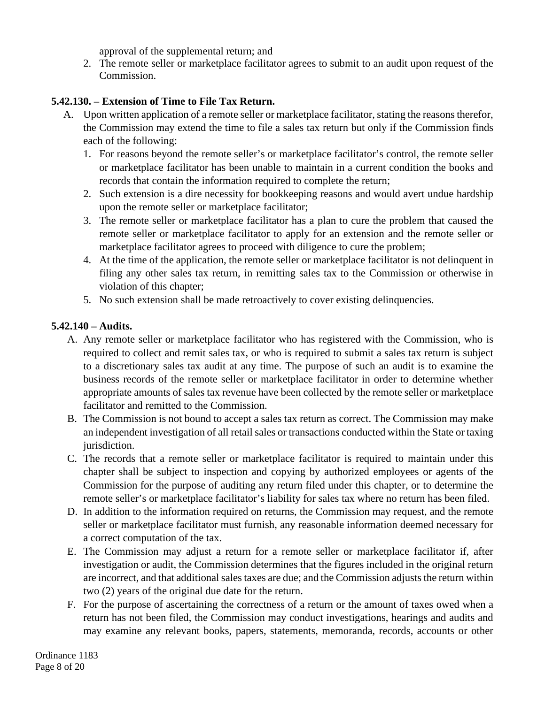approval of the supplemental return; and

2. The remote seller or marketplace facilitator agrees to submit to an audit upon request of the Commission.

### **5.42.130. – Extension of Time to File Tax Return.**

- A. Upon written application of a remote seller or marketplace facilitator, stating the reasons therefor, the Commission may extend the time to file a sales tax return but only if the Commission finds each of the following:
	- 1. For reasons beyond the remote seller's or marketplace facilitator's control, the remote seller or marketplace facilitator has been unable to maintain in a current condition the books and records that contain the information required to complete the return;
	- 2. Such extension is a dire necessity for bookkeeping reasons and would avert undue hardship upon the remote seller or marketplace facilitator;
	- 3. The remote seller or marketplace facilitator has a plan to cure the problem that caused the remote seller or marketplace facilitator to apply for an extension and the remote seller or marketplace facilitator agrees to proceed with diligence to cure the problem;
	- 4. At the time of the application, the remote seller or marketplace facilitator is not delinquent in filing any other sales tax return, in remitting sales tax to the Commission or otherwise in violation of this chapter;
	- 5. No such extension shall be made retroactively to cover existing delinquencies.

### **5.42.140 – Audits.**

- A. Any remote seller or marketplace facilitator who has registered with the Commission, who is required to collect and remit sales tax, or who is required to submit a sales tax return is subject to a discretionary sales tax audit at any time. The purpose of such an audit is to examine the business records of the remote seller or marketplace facilitator in order to determine whether appropriate amounts of sales tax revenue have been collected by the remote seller or marketplace facilitator and remitted to the Commission.
- B. The Commission is not bound to accept a sales tax return as correct. The Commission may make an independent investigation of all retail sales or transactions conducted within the State or taxing jurisdiction.
- C. The records that a remote seller or marketplace facilitator is required to maintain under this chapter shall be subject to inspection and copying by authorized employees or agents of the Commission for the purpose of auditing any return filed under this chapter, or to determine the remote seller's or marketplace facilitator's liability for sales tax where no return has been filed.
- D. In addition to the information required on returns, the Commission may request, and the remote seller or marketplace facilitator must furnish, any reasonable information deemed necessary for a correct computation of the tax.
- E. The Commission may adjust a return for a remote seller or marketplace facilitator if, after investigation or audit, the Commission determines that the figures included in the original return are incorrect, and that additional sales taxes are due; and the Commission adjusts the return within two (2) years of the original due date for the return.
- F. For the purpose of ascertaining the correctness of a return or the amount of taxes owed when a return has not been filed, the Commission may conduct investigations, hearings and audits and may examine any relevant books, papers, statements, memoranda, records, accounts or other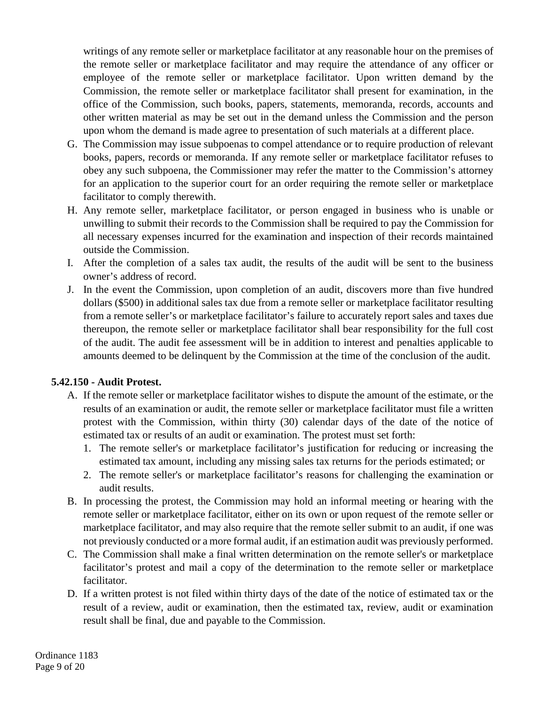writings of any remote seller or marketplace facilitator at any reasonable hour on the premises of the remote seller or marketplace facilitator and may require the attendance of any officer or employee of the remote seller or marketplace facilitator. Upon written demand by the Commission, the remote seller or marketplace facilitator shall present for examination, in the office of the Commission, such books, papers, statements, memoranda, records, accounts and other written material as may be set out in the demand unless the Commission and the person upon whom the demand is made agree to presentation of such materials at a different place.

- G. The Commission may issue subpoenas to compel attendance or to require production of relevant books, papers, records or memoranda. If any remote seller or marketplace facilitator refuses to obey any such subpoena, the Commissioner may refer the matter to the Commission's attorney for an application to the superior court for an order requiring the remote seller or marketplace facilitator to comply therewith.
- H. Any remote seller, marketplace facilitator, or person engaged in business who is unable or unwilling to submit their records to the Commission shall be required to pay the Commission for all necessary expenses incurred for the examination and inspection of their records maintained outside the Commission.
- I. After the completion of a sales tax audit, the results of the audit will be sent to the business owner's address of record.
- J. In the event the Commission, upon completion of an audit, discovers more than five hundred dollars (\$500) in additional sales tax due from a remote seller or marketplace facilitator resulting from a remote seller's or marketplace facilitator's failure to accurately report sales and taxes due thereupon, the remote seller or marketplace facilitator shall bear responsibility for the full cost of the audit. The audit fee assessment will be in addition to interest and penalties applicable to amounts deemed to be delinquent by the Commission at the time of the conclusion of the audit.

#### **5.42.150 - Audit Protest.**

- A. If the remote seller or marketplace facilitator wishes to dispute the amount of the estimate, or the results of an examination or audit, the remote seller or marketplace facilitator must file a written protest with the Commission, within thirty (30) calendar days of the date of the notice of estimated tax or results of an audit or examination. The protest must set forth:
	- 1. The remote seller's or marketplace facilitator's justification for reducing or increasing the estimated tax amount, including any missing sales tax returns for the periods estimated; or
	- 2. The remote seller's or marketplace facilitator's reasons for challenging the examination or audit results.
- B. In processing the protest, the Commission may hold an informal meeting or hearing with the remote seller or marketplace facilitator, either on its own or upon request of the remote seller or marketplace facilitator, and may also require that the remote seller submit to an audit, if one was not previously conducted or a more formal audit, if an estimation audit was previously performed.
- C. The Commission shall make a final written determination on the remote seller's or marketplace facilitator's protest and mail a copy of the determination to the remote seller or marketplace facilitator.
- D. If a written protest is not filed within thirty days of the date of the notice of estimated tax or the result of a review, audit or examination, then the estimated tax, review, audit or examination result shall be final, due and payable to the Commission.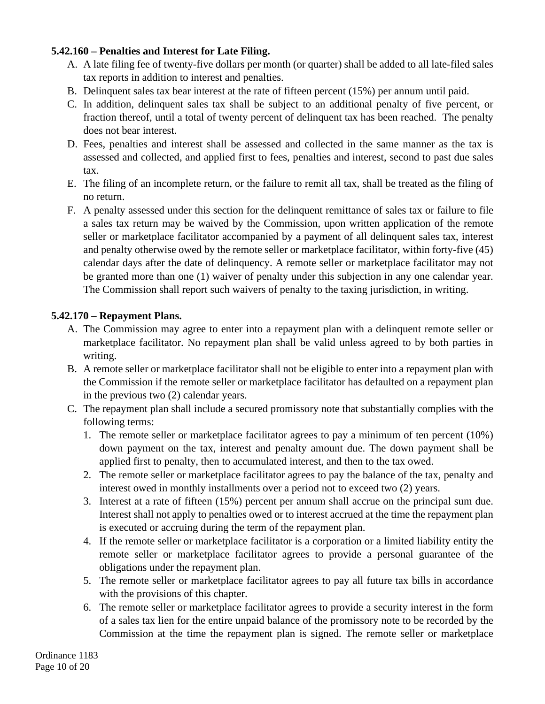### **5.42.160 – Penalties and Interest for Late Filing.**

- A. A late filing fee of twenty-five dollars per month (or quarter) shall be added to all late-filed sales tax reports in addition to interest and penalties.
- B. Delinquent sales tax bear interest at the rate of fifteen percent (15%) per annum until paid.
- C. In addition, delinquent sales tax shall be subject to an additional penalty of five percent, or fraction thereof, until a total of twenty percent of delinquent tax has been reached. The penalty does not bear interest.
- D. Fees, penalties and interest shall be assessed and collected in the same manner as the tax is assessed and collected, and applied first to fees, penalties and interest, second to past due sales tax.
- E. The filing of an incomplete return, or the failure to remit all tax, shall be treated as the filing of no return.
- F. A penalty assessed under this section for the delinquent remittance of sales tax or failure to file a sales tax return may be waived by the Commission, upon written application of the remote seller or marketplace facilitator accompanied by a payment of all delinquent sales tax, interest and penalty otherwise owed by the remote seller or marketplace facilitator, within forty-five (45) calendar days after the date of delinquency. A remote seller or marketplace facilitator may not be granted more than one (1) waiver of penalty under this subjection in any one calendar year. The Commission shall report such waivers of penalty to the taxing jurisdiction, in writing.

### **5.42.170 – Repayment Plans.**

- A. The Commission may agree to enter into a repayment plan with a delinquent remote seller or marketplace facilitator. No repayment plan shall be valid unless agreed to by both parties in writing.
- B. A remote seller or marketplace facilitator shall not be eligible to enter into a repayment plan with the Commission if the remote seller or marketplace facilitator has defaulted on a repayment plan in the previous two (2) calendar years.
- C. The repayment plan shall include a secured promissory note that substantially complies with the following terms:
	- 1. The remote seller or marketplace facilitator agrees to pay a minimum of ten percent (10%) down payment on the tax, interest and penalty amount due. The down payment shall be applied first to penalty, then to accumulated interest, and then to the tax owed.
	- 2. The remote seller or marketplace facilitator agrees to pay the balance of the tax, penalty and interest owed in monthly installments over a period not to exceed two (2) years.
	- 3. Interest at a rate of fifteen (15%) percent per annum shall accrue on the principal sum due. Interest shall not apply to penalties owed or to interest accrued at the time the repayment plan is executed or accruing during the term of the repayment plan.
	- 4. If the remote seller or marketplace facilitator is a corporation or a limited liability entity the remote seller or marketplace facilitator agrees to provide a personal guarantee of the obligations under the repayment plan.
	- 5. The remote seller or marketplace facilitator agrees to pay all future tax bills in accordance with the provisions of this chapter.
	- 6. The remote seller or marketplace facilitator agrees to provide a security interest in the form of a sales tax lien for the entire unpaid balance of the promissory note to be recorded by the Commission at the time the repayment plan is signed. The remote seller or marketplace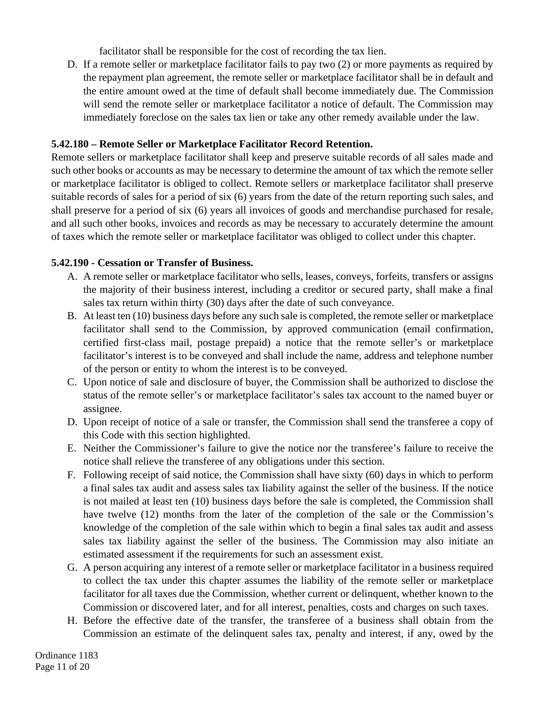facilitator shall be responsible for the cost of recording the tax lien.

D. If a remote seller or marketplace facilitator fails to pay two (2) or more payments as required by the repayment plan agreement, the remote seller or marketplace facilitator shall be in default and the entire amount owed at the time of default shall become immediately due. The Commission will send the remote seller or marketplace facilitator a notice of default. The Commission may immediately foreclose on the sales tax lien or take any other remedy available under the law.

## **5.42.180 – Remote Seller or Marketplace Facilitator Record Retention.**

Remote sellers or marketplace facilitator shall keep and preserve suitable records of all sales made and such other books or accounts as may be necessary to determine the amount of tax which the remote seller or marketplace facilitator is obliged to collect. Remote sellers or marketplace facilitator shall preserve suitable records of sales for a period of six (6) years from the date of the return reporting such sales, and shall preserve for a period of six (6) years all invoices of goods and merchandise purchased for resale, and all such other books, invoices and records as may be necessary to accurately determine the amount of taxes which the remote seller or marketplace facilitator was obliged to collect under this chapter.

### **5.42.190 - Cessation or Transfer of Business.**

- A. A remote seller or marketplace facilitator who sells, leases, conveys, forfeits, transfers or assigns the majority of their business interest, including a creditor or secured party, shall make a final sales tax return within thirty (30) days after the date of such conveyance.
- B. At least ten (10) business days before any such sale is completed, the remote seller or marketplace facilitator shall send to the Commission, by approved communication (email confirmation, certified first-class mail, postage prepaid) a notice that the remote seller's or marketplace facilitator's interest is to be conveyed and shall include the name, address and telephone number of the person or entity to whom the interest is to be conveyed.
- C. Upon notice of sale and disclosure of buyer, the Commission shall be authorized to disclose the status of the remote seller's or marketplace facilitator's sales tax account to the named buyer or assignee.
- D. Upon receipt of notice of a sale or transfer, the Commission shall send the transferee a copy of this Code with this section highlighted.
- E. Neither the Commissioner's failure to give the notice nor the transferee's failure to receive the notice shall relieve the transferee of any obligations under this section.
- F. Following receipt of said notice, the Commission shall have sixty (60) days in which to perform a final sales tax audit and assess sales tax liability against the seller of the business. If the notice is not mailed at least ten (10) business days before the sale is completed, the Commission shall have twelve (12) months from the later of the completion of the sale or the Commission's knowledge of the completion of the sale within which to begin a final sales tax audit and assess sales tax liability against the seller of the business. The Commission may also initiate an estimated assessment if the requirements for such an assessment exist.
- G. A person acquiring any interest of a remote seller or marketplace facilitator in a business required to collect the tax under this chapter assumes the liability of the remote seller or marketplace facilitator for all taxes due the Commission, whether current or delinquent, whether known to the Commission or discovered later, and for all interest, penalties, costs and charges on such taxes.
- H. Before the effective date of the transfer, the transferee of a business shall obtain from the Commission an estimate of the delinquent sales tax, penalty and interest, if any, owed by the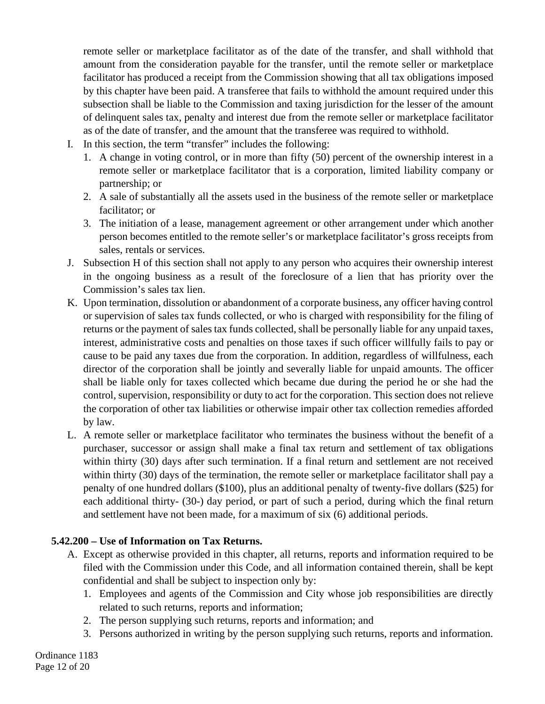remote seller or marketplace facilitator as of the date of the transfer, and shall withhold that amount from the consideration payable for the transfer, until the remote seller or marketplace facilitator has produced a receipt from the Commission showing that all tax obligations imposed by this chapter have been paid. A transferee that fails to withhold the amount required under this subsection shall be liable to the Commission and taxing jurisdiction for the lesser of the amount of delinquent sales tax, penalty and interest due from the remote seller or marketplace facilitator as of the date of transfer, and the amount that the transferee was required to withhold.

- I. In this section, the term "transfer" includes the following:
	- 1. A change in voting control, or in more than fifty (50) percent of the ownership interest in a remote seller or marketplace facilitator that is a corporation, limited liability company or partnership; or
	- 2. A sale of substantially all the assets used in the business of the remote seller or marketplace facilitator; or
	- 3. The initiation of a lease, management agreement or other arrangement under which another person becomes entitled to the remote seller's or marketplace facilitator's gross receipts from sales, rentals or services.
- J. Subsection H of this section shall not apply to any person who acquires their ownership interest in the ongoing business as a result of the foreclosure of a lien that has priority over the Commission's sales tax lien.
- K. Upon termination, dissolution or abandonment of a corporate business, any officer having control or supervision of sales tax funds collected, or who is charged with responsibility for the filing of returns or the payment of sales tax funds collected, shall be personally liable for any unpaid taxes, interest, administrative costs and penalties on those taxes if such officer willfully fails to pay or cause to be paid any taxes due from the corporation. In addition, regardless of willfulness, each director of the corporation shall be jointly and severally liable for unpaid amounts. The officer shall be liable only for taxes collected which became due during the period he or she had the control, supervision, responsibility or duty to act for the corporation. This section does not relieve the corporation of other tax liabilities or otherwise impair other tax collection remedies afforded by law.
- L. A remote seller or marketplace facilitator who terminates the business without the benefit of a purchaser, successor or assign shall make a final tax return and settlement of tax obligations within thirty (30) days after such termination. If a final return and settlement are not received within thirty (30) days of the termination, the remote seller or marketplace facilitator shall pay a penalty of one hundred dollars (\$100), plus an additional penalty of twenty-five dollars (\$25) for each additional thirty- (30-) day period, or part of such a period, during which the final return and settlement have not been made, for a maximum of six (6) additional periods.

## **5.42.200 – Use of Information on Tax Returns.**

- A. Except as otherwise provided in this chapter, all returns, reports and information required to be filed with the Commission under this Code, and all information contained therein, shall be kept confidential and shall be subject to inspection only by:
	- 1. Employees and agents of the Commission and City whose job responsibilities are directly related to such returns, reports and information;
	- 2. The person supplying such returns, reports and information; and
	- 3. Persons authorized in writing by the person supplying such returns, reports and information.

Ordinance 1183 Page 12 of 20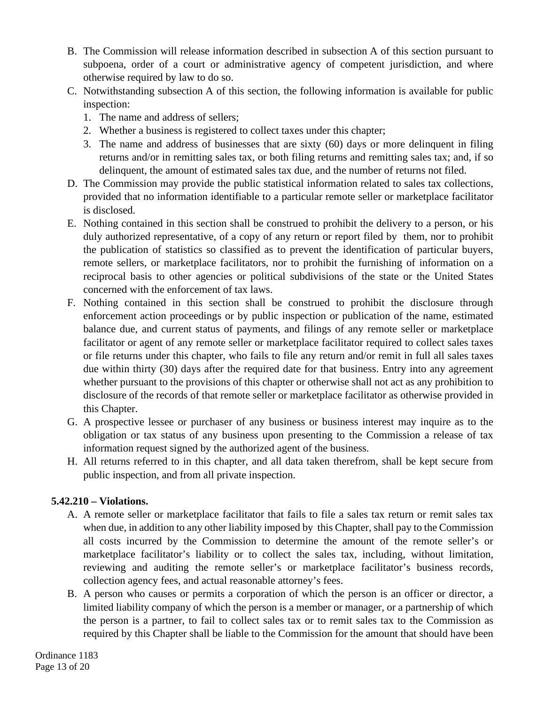- B. The Commission will release information described in subsection A of this section pursuant to subpoena, order of a court or administrative agency of competent jurisdiction, and where otherwise required by law to do so.
- C. Notwithstanding subsection A of this section, the following information is available for public inspection:
	- 1. The name and address of sellers;
	- 2. Whether a business is registered to collect taxes under this chapter;
	- 3. The name and address of businesses that are sixty (60) days or more delinquent in filing returns and/or in remitting sales tax, or both filing returns and remitting sales tax; and, if so delinquent, the amount of estimated sales tax due, and the number of returns not filed.
- D. The Commission may provide the public statistical information related to sales tax collections, provided that no information identifiable to a particular remote seller or marketplace facilitator is disclosed.
- E. Nothing contained in this section shall be construed to prohibit the delivery to a person, or his duly authorized representative, of a copy of any return or report filed by them, nor to prohibit the publication of statistics so classified as to prevent the identification of particular buyers, remote sellers, or marketplace facilitators, nor to prohibit the furnishing of information on a reciprocal basis to other agencies or political subdivisions of the state or the United States concerned with the enforcement of tax laws.
- F. Nothing contained in this section shall be construed to prohibit the disclosure through enforcement action proceedings or by public inspection or publication of the name, estimated balance due, and current status of payments, and filings of any remote seller or marketplace facilitator or agent of any remote seller or marketplace facilitator required to collect sales taxes or file returns under this chapter, who fails to file any return and/or remit in full all sales taxes due within thirty (30) days after the required date for that business. Entry into any agreement whether pursuant to the provisions of this chapter or otherwise shall not act as any prohibition to disclosure of the records of that remote seller or marketplace facilitator as otherwise provided in this Chapter.
- G. A prospective lessee or purchaser of any business or business interest may inquire as to the obligation or tax status of any business upon presenting to the Commission a release of tax information request signed by the authorized agent of the business.
- H. All returns referred to in this chapter, and all data taken therefrom, shall be kept secure from public inspection, and from all private inspection.

## **5.42.210 – Violations.**

- A. A remote seller or marketplace facilitator that fails to file a sales tax return or remit sales tax when due, in addition to any other liability imposed by this Chapter, shall pay to the Commission all costs incurred by the Commission to determine the amount of the remote seller's or marketplace facilitator's liability or to collect the sales tax, including, without limitation, reviewing and auditing the remote seller's or marketplace facilitator's business records, collection agency fees, and actual reasonable attorney's fees.
- B. A person who causes or permits a corporation of which the person is an officer or director, a limited liability company of which the person is a member or manager, or a partnership of which the person is a partner, to fail to collect sales tax or to remit sales tax to the Commission as required by this Chapter shall be liable to the Commission for the amount that should have been

Ordinance 1183 Page 13 of 20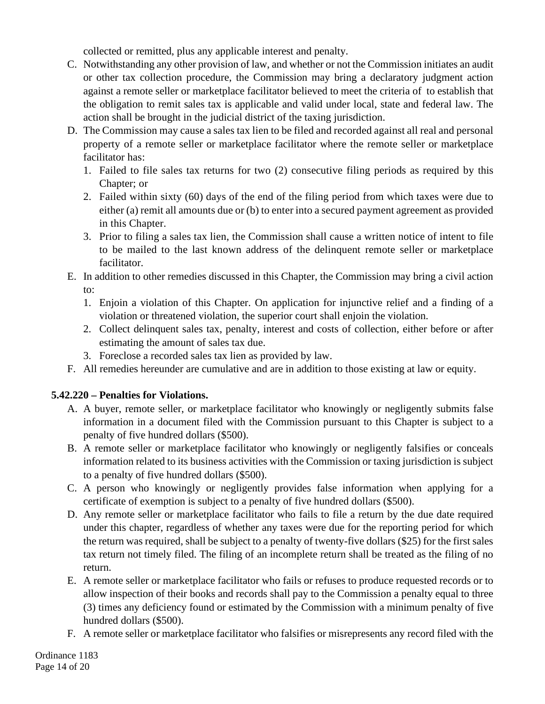collected or remitted, plus any applicable interest and penalty.

- C. Notwithstanding any other provision of law, and whether or not the Commission initiates an audit or other tax collection procedure, the Commission may bring a declaratory judgment action against a remote seller or marketplace facilitator believed to meet the criteria of to establish that the obligation to remit sales tax is applicable and valid under local, state and federal law. The action shall be brought in the judicial district of the taxing jurisdiction.
- D. The Commission may cause a sales tax lien to be filed and recorded against all real and personal property of a remote seller or marketplace facilitator where the remote seller or marketplace facilitator has:
	- 1. Failed to file sales tax returns for two (2) consecutive filing periods as required by this Chapter; or
	- 2. Failed within sixty (60) days of the end of the filing period from which taxes were due to either (a) remit all amounts due or (b) to enter into a secured payment agreement as provided in this Chapter.
	- 3. Prior to filing a sales tax lien, the Commission shall cause a written notice of intent to file to be mailed to the last known address of the delinquent remote seller or marketplace facilitator.
- E. In addition to other remedies discussed in this Chapter, the Commission may bring a civil action to:
	- 1. Enjoin a violation of this Chapter. On application for injunctive relief and a finding of a violation or threatened violation, the superior court shall enjoin the violation.
	- 2. Collect delinquent sales tax, penalty, interest and costs of collection, either before or after estimating the amount of sales tax due.
	- 3. Foreclose a recorded sales tax lien as provided by law.
- F. All remedies hereunder are cumulative and are in addition to those existing at law or equity.

## **5.42.220 – Penalties for Violations.**

- A. A buyer, remote seller, or marketplace facilitator who knowingly or negligently submits false information in a document filed with the Commission pursuant to this Chapter is subject to a penalty of five hundred dollars (\$500).
- B. A remote seller or marketplace facilitator who knowingly or negligently falsifies or conceals information related to its business activities with the Commission or taxing jurisdiction is subject to a penalty of five hundred dollars (\$500).
- C. A person who knowingly or negligently provides false information when applying for a certificate of exemption is subject to a penalty of five hundred dollars (\$500).
- D. Any remote seller or marketplace facilitator who fails to file a return by the due date required under this chapter, regardless of whether any taxes were due for the reporting period for which the return was required, shall be subject to a penalty of twenty-five dollars (\$25) for the first sales tax return not timely filed. The filing of an incomplete return shall be treated as the filing of no return.
- E. A remote seller or marketplace facilitator who fails or refuses to produce requested records or to allow inspection of their books and records shall pay to the Commission a penalty equal to three (3) times any deficiency found or estimated by the Commission with a minimum penalty of five hundred dollars (\$500).
- F. A remote seller or marketplace facilitator who falsifies or misrepresents any record filed with the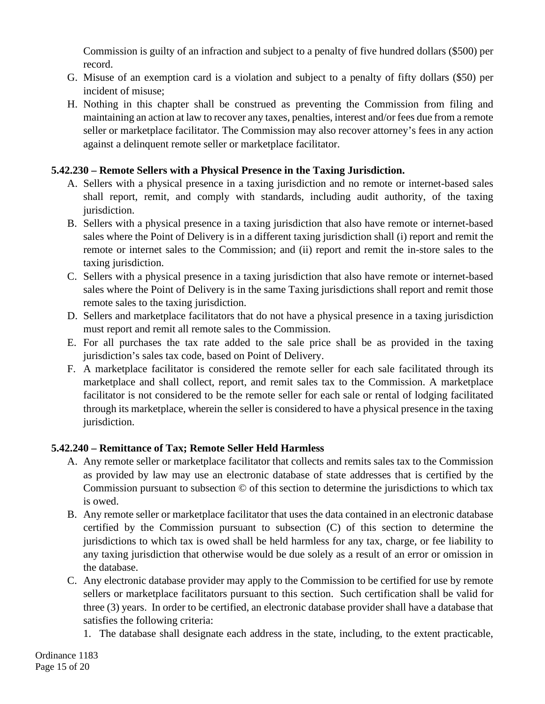Commission is guilty of an infraction and subject to a penalty of five hundred dollars (\$500) per record.

- G. Misuse of an exemption card is a violation and subject to a penalty of fifty dollars (\$50) per incident of misuse;
- H. Nothing in this chapter shall be construed as preventing the Commission from filing and maintaining an action at law to recover any taxes, penalties, interest and/or fees due from a remote seller or marketplace facilitator. The Commission may also recover attorney's fees in any action against a delinquent remote seller or marketplace facilitator.

# **5.42.230 – Remote Sellers with a Physical Presence in the Taxing Jurisdiction.**

- A. Sellers with a physical presence in a taxing jurisdiction and no remote or internet-based sales shall report, remit, and comply with standards, including audit authority, of the taxing jurisdiction.
- B. Sellers with a physical presence in a taxing jurisdiction that also have remote or internet-based sales where the Point of Delivery is in a different taxing jurisdiction shall (i) report and remit the remote or internet sales to the Commission; and (ii) report and remit the in-store sales to the taxing jurisdiction.
- C. Sellers with a physical presence in a taxing jurisdiction that also have remote or internet-based sales where the Point of Delivery is in the same Taxing jurisdictions shall report and remit those remote sales to the taxing jurisdiction.
- D. Sellers and marketplace facilitators that do not have a physical presence in a taxing jurisdiction must report and remit all remote sales to the Commission.
- E. For all purchases the tax rate added to the sale price shall be as provided in the taxing jurisdiction's sales tax code, based on Point of Delivery.
- F. A marketplace facilitator is considered the remote seller for each sale facilitated through its marketplace and shall collect, report, and remit sales tax to the Commission. A marketplace facilitator is not considered to be the remote seller for each sale or rental of lodging facilitated through its marketplace, wherein the seller is considered to have a physical presence in the taxing jurisdiction.

# **5.42.240 – Remittance of Tax; Remote Seller Held Harmless**

- A. Any remote seller or marketplace facilitator that collects and remits sales tax to the Commission as provided by law may use an electronic database of state addresses that is certified by the Commission pursuant to subsection © of this section to determine the jurisdictions to which tax is owed.
- B. Any remote seller or marketplace facilitator that uses the data contained in an electronic database certified by the Commission pursuant to subsection (C) of this section to determine the jurisdictions to which tax is owed shall be held harmless for any tax, charge, or fee liability to any taxing jurisdiction that otherwise would be due solely as a result of an error or omission in the database.
- C. Any electronic database provider may apply to the Commission to be certified for use by remote sellers or marketplace facilitators pursuant to this section. Such certification shall be valid for three (3) years. In order to be certified, an electronic database provider shall have a database that satisfies the following criteria:
	- 1. The database shall designate each address in the state, including, to the extent practicable,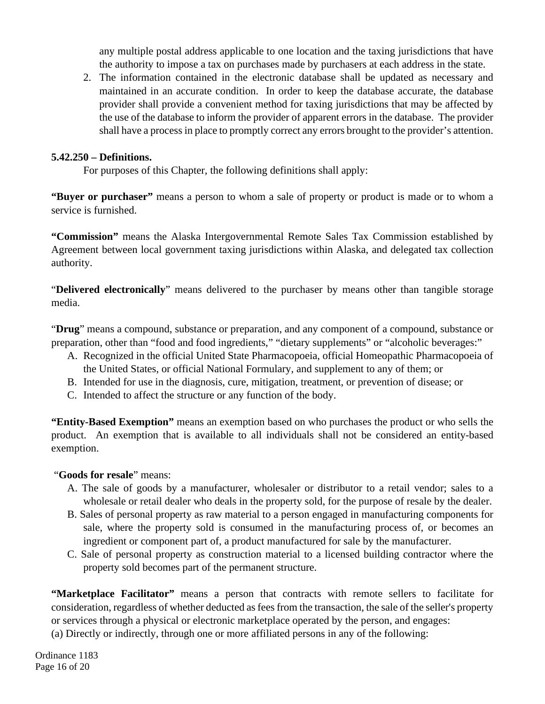any multiple postal address applicable to one location and the taxing jurisdictions that have the authority to impose a tax on purchases made by purchasers at each address in the state.

2. The information contained in the electronic database shall be updated as necessary and maintained in an accurate condition. In order to keep the database accurate, the database provider shall provide a convenient method for taxing jurisdictions that may be affected by the use of the database to inform the provider of apparent errors in the database. The provider shall have a process in place to promptly correct any errors brought to the provider's attention.

#### **5.42.250 – Definitions.**

For purposes of this Chapter, the following definitions shall apply:

**"Buyer or purchaser"** means a person to whom a sale of property or product is made or to whom a service is furnished.

**"Commission"** means the Alaska Intergovernmental Remote Sales Tax Commission established by Agreement between local government taxing jurisdictions within Alaska, and delegated tax collection authority.

"**Delivered electronically**" means delivered to the purchaser by means other than tangible storage media.

"**Drug**" means a compound, substance or preparation, and any component of a compound, substance or preparation, other than "food and food ingredients," "dietary supplements" or "alcoholic beverages:"

- A. Recognized in the official United State Pharmacopoeia, official Homeopathic Pharmacopoeia of the United States, or official National Formulary, and supplement to any of them; or
- B. Intended for use in the diagnosis, cure, mitigation, treatment, or prevention of disease; or
- C. Intended to affect the structure or any function of the body.

**"Entity-Based Exemption"** means an exemption based on who purchases the product or who sells the product. An exemption that is available to all individuals shall not be considered an entity-based exemption.

"**Goods for resale**" means:

- A. The sale of goods by a manufacturer, wholesaler or distributor to a retail vendor; sales to a wholesale or retail dealer who deals in the property sold, for the purpose of resale by the dealer.
- B. Sales of personal property as raw material to a person engaged in manufacturing components for sale, where the property sold is consumed in the manufacturing process of, or becomes an ingredient or component part of, a product manufactured for sale by the manufacturer.
- C. Sale of personal property as construction material to a licensed building contractor where the property sold becomes part of the permanent structure.

**"Marketplace Facilitator"** means a person that contracts with remote sellers to facilitate for consideration, regardless of whether deducted as fees from the transaction, the sale of the seller's property or services through a physical or electronic marketplace operated by the person, and engages:

(a) Directly or indirectly, through one or more affiliated persons in any of the following:

Ordinance 1183 Page 16 of 20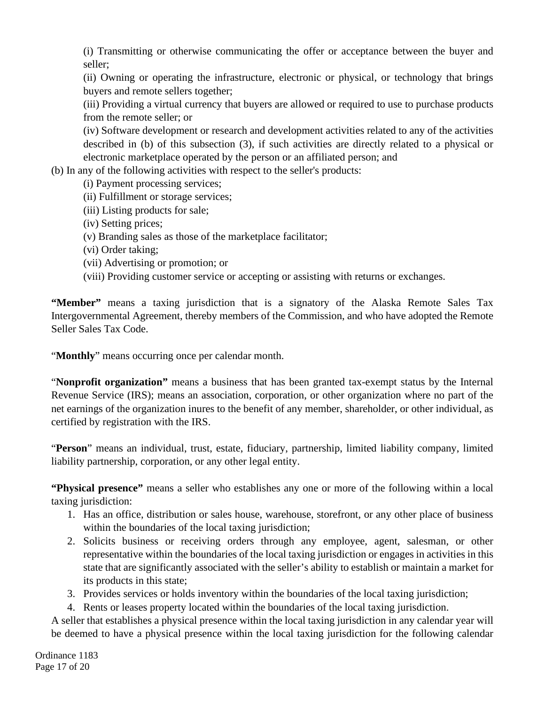(i) Transmitting or otherwise communicating the offer or acceptance between the buyer and seller;

(ii) Owning or operating the infrastructure, electronic or physical, or technology that brings buyers and remote sellers together;

(iii) Providing a virtual currency that buyers are allowed or required to use to purchase products from the remote seller; or

(iv) Software development or research and development activities related to any of the activities described in (b) of this subsection (3), if such activities are directly related to a physical or electronic marketplace operated by the person or an affiliated person; and

(b) In any of the following activities with respect to the seller's products:

- (i) Payment processing services;
- (ii) Fulfillment or storage services;
- (iii) Listing products for sale;
- (iv) Setting prices;
- (v) Branding sales as those of the marketplace facilitator;
- (vi) Order taking;
- (vii) Advertising or promotion; or
- (viii) Providing customer service or accepting or assisting with returns or exchanges.

**"Member"** means a taxing jurisdiction that is a signatory of the Alaska Remote Sales Tax Intergovernmental Agreement, thereby members of the Commission, and who have adopted the Remote Seller Sales Tax Code.

"**Monthly**" means occurring once per calendar month.

"**Nonprofit organization"** means a business that has been granted tax-exempt status by the Internal Revenue Service (IRS); means an association, corporation, or other organization where no part of the net earnings of the organization inures to the benefit of any member, shareholder, or other individual, as certified by registration with the IRS.

"**Person**" means an individual, trust, estate, fiduciary, partnership, limited liability company, limited liability partnership, corporation, or any other legal entity.

**"Physical presence"** means a seller who establishes any one or more of the following within a local taxing jurisdiction:

- 1. Has an office, distribution or sales house, warehouse, storefront, or any other place of business within the boundaries of the local taxing jurisdiction;
- 2. Solicits business or receiving orders through any employee, agent, salesman, or other representative within the boundaries of the local taxing jurisdiction or engages in activities in this state that are significantly associated with the seller's ability to establish or maintain a market for its products in this state;
- 3. Provides services or holds inventory within the boundaries of the local taxing jurisdiction;
- 4. Rents or leases property located within the boundaries of the local taxing jurisdiction.

A seller that establishes a physical presence within the local taxing jurisdiction in any calendar year will be deemed to have a physical presence within the local taxing jurisdiction for the following calendar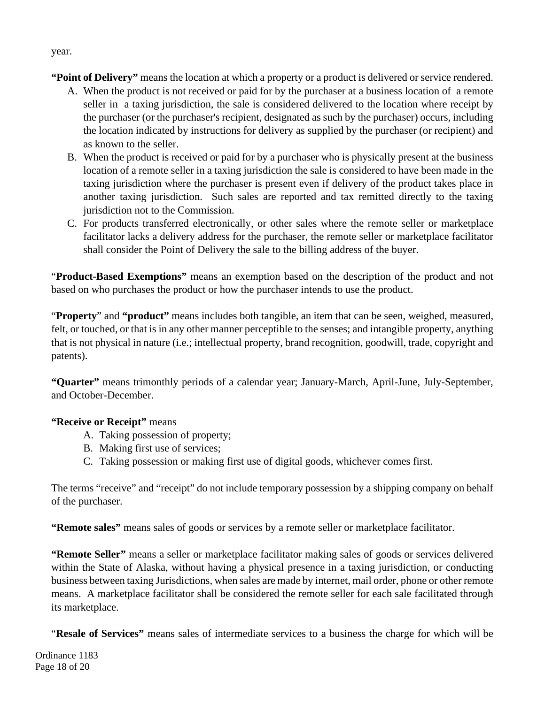**"Point of Delivery"** means the location at which a property or a product is delivered or service rendered.

- A. When the product is not received or paid for by the purchaser at a business location of a remote seller in a taxing jurisdiction, the sale is considered delivered to the location where receipt by the purchaser (or the purchaser's recipient, designated as such by the purchaser) occurs, including the location indicated by instructions for delivery as supplied by the purchaser (or recipient) and as known to the seller.
- B. When the product is received or paid for by a purchaser who is physically present at the business location of a remote seller in a taxing jurisdiction the sale is considered to have been made in the taxing jurisdiction where the purchaser is present even if delivery of the product takes place in another taxing jurisdiction. Such sales are reported and tax remitted directly to the taxing jurisdiction not to the Commission.
- C. For products transferred electronically, or other sales where the remote seller or marketplace facilitator lacks a delivery address for the purchaser, the remote seller or marketplace facilitator shall consider the Point of Delivery the sale to the billing address of the buyer.

"**Product-Based Exemptions"** means an exemption based on the description of the product and not based on who purchases the product or how the purchaser intends to use the product.

"**Property**" and **"product"** means includes both tangible, an item that can be seen, weighed, measured, felt, or touched, or that is in any other manner perceptible to the senses; and intangible property, anything that is not physical in nature (i.e.; intellectual property, brand recognition, goodwill, trade, copyright and patents).

**"Quarter"** means trimonthly periods of a calendar year; January-March, April-June, July-September, and October-December.

# **"Receive or Receipt"** means

- A. Taking possession of property;
- B. Making first use of services;
- C. Taking possession or making first use of digital goods, whichever comes first.

The terms "receive" and "receipt" do not include temporary possession by a shipping company on behalf of the purchaser.

**"Remote sales"** means sales of goods or services by a remote seller or marketplace facilitator.

**"Remote Seller"** means a seller or marketplace facilitator making sales of goods or services delivered within the State of Alaska, without having a physical presence in a taxing jurisdiction, or conducting business between taxing Jurisdictions, when sales are made by internet, mail order, phone or other remote means. A marketplace facilitator shall be considered the remote seller for each sale facilitated through its marketplace.

"**Resale of Services"** means sales of intermediate services to a business the charge for which will be

Ordinance 1183 Page 18 of 20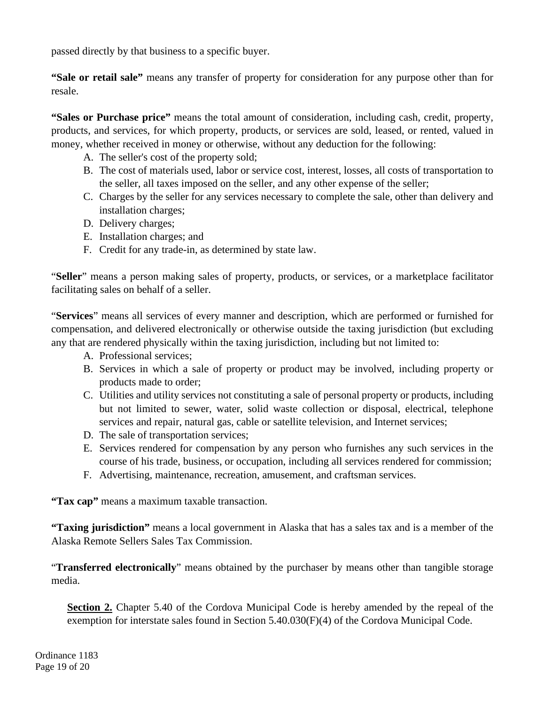passed directly by that business to a specific buyer.

**"Sale or retail sale"** means any transfer of property for consideration for any purpose other than for resale.

**"Sales or Purchase price"** means the total amount of consideration, including cash, credit, property, products, and services, for which property, products, or services are sold, leased, or rented, valued in money, whether received in money or otherwise, without any deduction for the following:

- A. The seller's cost of the property sold;
- B. The cost of materials used, labor or service cost, interest, losses, all costs of transportation to the seller, all taxes imposed on the seller, and any other expense of the seller;
- C. Charges by the seller for any services necessary to complete the sale, other than delivery and installation charges;
- D. Delivery charges;
- E. Installation charges; and
- F. Credit for any trade-in, as determined by state law.

"**Seller**" means a person making sales of property, products, or services, or a marketplace facilitator facilitating sales on behalf of a seller.

"**Services**" means all services of every manner and description, which are performed or furnished for compensation, and delivered electronically or otherwise outside the taxing jurisdiction (but excluding any that are rendered physically within the taxing jurisdiction, including but not limited to:

- A. Professional services;
- B. Services in which a sale of property or product may be involved, including property or products made to order;
- C. Utilities and utility services not constituting a sale of personal property or products, including but not limited to sewer, water, solid waste collection or disposal, electrical, telephone services and repair, natural gas, cable or satellite television, and Internet services;
- D. The sale of transportation services;
- E. Services rendered for compensation by any person who furnishes any such services in the course of his trade, business, or occupation, including all services rendered for commission;
- F. Advertising, maintenance, recreation, amusement, and craftsman services.

**"Tax cap"** means a maximum taxable transaction.

**"Taxing jurisdiction"** means a local government in Alaska that has a sales tax and is a member of the Alaska Remote Sellers Sales Tax Commission.

"**Transferred electronically**" means obtained by the purchaser by means other than tangible storage media.

**Section 2.** Chapter 5.40 of the Cordova Municipal Code is hereby amended by the repeal of the exemption for interstate sales found in Section 5.40.030(F)(4) of the Cordova Municipal Code.